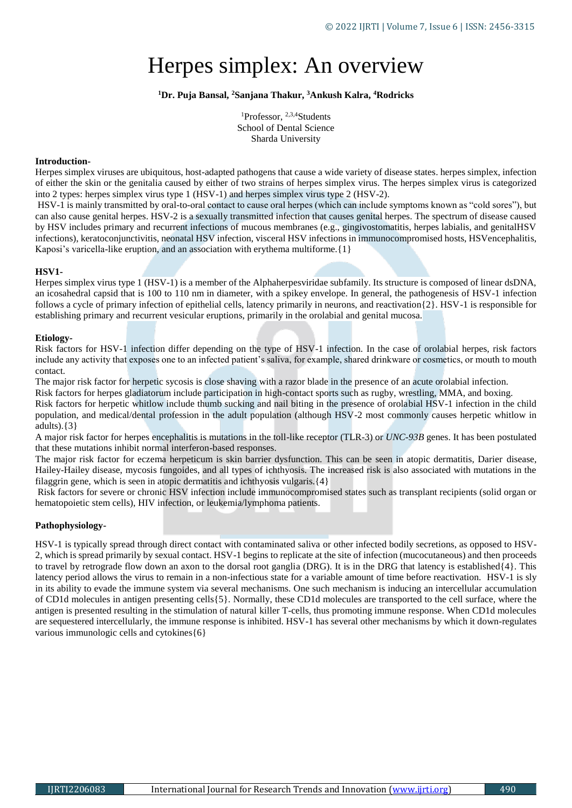# Herpes simplex: An overview

# **<sup>1</sup>Dr. Puja Bansal, <sup>2</sup>Sanjana Thakur, <sup>3</sup>Ankush Kalra, <sup>4</sup>Rodricks**

<sup>1</sup>Professor, <sup>2,3,4</sup>Students School of Dental Science Sharda University

## **Introduction-**

Herpes simplex viruses are ubiquitous, host-adapted pathogens that cause a wide variety of disease states. herpes simplex, infection of either the [skin](https://www.britannica.com/science/human-skin) or the genitalia caused by either of two strains of herpes simplex [virus.](https://www.britannica.com/science/virus) The herpes simplex virus is categorized into 2 types: herpes simplex virus type 1 (HSV-1) and herpes simplex virus type 2 (HSV-2).

HSV-1 is mainly transmitted by oral-to-oral contact to cause oral herpes (which can include symptoms known as "cold sores"), but can also cause genital herpes. HSV-2 is a sexually transmitted infection that causes genital herpes. The spectrum of disease caused by HSV includes primary and recurrent infections of mucous membranes (e.g., gingivostomatitis, herpes labialis, and genitalHSV infections), keratoconjunctivitis, neonatal HSV infection, visceral HSV infections in immunocompromised hosts, HSVencephalitis, Kaposi's varicella-like eruption, and an association with erythema multiforme.  $\{1\}$ 

## **HSV1-**

Herpes simplex virus type 1 (HSV-1) is a member of the Alphaherpesviridae subfamily. Its structure is composed of linear dsDNA, an icosahedral capsid that is 100 to 110 nm in diameter, with a spikey envelope. In general, the pathogenesis of HSV-1 infection follows a cycle of primary infection of epithelial cells, latency primarily in neurons, and reactivation{2}. HSV-1 is responsible for establishing primary and recurrent vesicular eruptions, primarily in the orolabial and genital mucosa.

## **Etiology-**

Risk factors for HSV-1 infection differ depending on the type of HSV-1 infection. In the case of orolabial herpes, risk factors include any activity that exposes one to an infected patient's saliva, for example, shared drinkware or cosmetics, or mouth to mouth contact.

The major risk factor for herpetic sycosis is close shaving with a razor blade in the presence of an acute orolabial infection.

Risk factors for herpes gladiatorum include participation in high-contact sports such as rugby, wrestling, MMA, and boxing.

Risk factors for herpetic whitlow include thumb sucking and nail biting in the presence of orolabial HSV-1 infection in the child population, and medical/dental profession in the adult population (although HSV-2 most commonly causes herpetic whitlow in adults). $\{3\}$ 

A major risk factor for herpes encephalitis is mutations in the toll-like receptor (TLR-3) or *UNC-93B* genes. It has been postulated that these mutations inhibit normal interferon-based responses.

The major risk factor for eczema herpeticum is skin barrier dysfunction. This can be seen in atopic dermatitis, Darier disease, Hailey-Hailey disease, mycosis fungoides, and all types of ichthyosis. The increased risk is also associated with mutations in the filaggrin gene, which is seen in atopic dermatitis and ichthyosis vulgaris.{4}

Risk factors for severe or chronic HSV infection include immunocompromised states such as transplant recipients (solid organ or hematopoietic stem cells), HIV infection, or leukemia/lymphoma patients.

# **Pathophysiology-**

HSV-1 is typically spread through direct contact with contaminated saliva or other infected bodily secretions, as opposed to HSV-2, which is spread primarily by sexual contact. HSV-1 begins to replicate at the site of infection (mucocutaneous) and then proceeds to travel by retrograde flow down an axon to the dorsal root ganglia (DRG). It is in the DRG that latency is established{4}. This latency period allows the virus to remain in a non-infectious state for a variable amount of time before reactivation. HSV-1 is sly in its ability to evade the immune system via several mechanisms. One such mechanism is inducing an intercellular accumulation of CD1d molecules in antigen presenting cells{5}. Normally, these CD1d molecules are transported to the cell surface, where the antigen is presented resulting in the stimulation of natural killer T-cells, thus promoting immune response. When CD1d molecules are sequestered intercellularly, the immune response is inhibited. HSV-1 has several other mechanisms by which it down-regulates various immunologic cells and cytokines{6}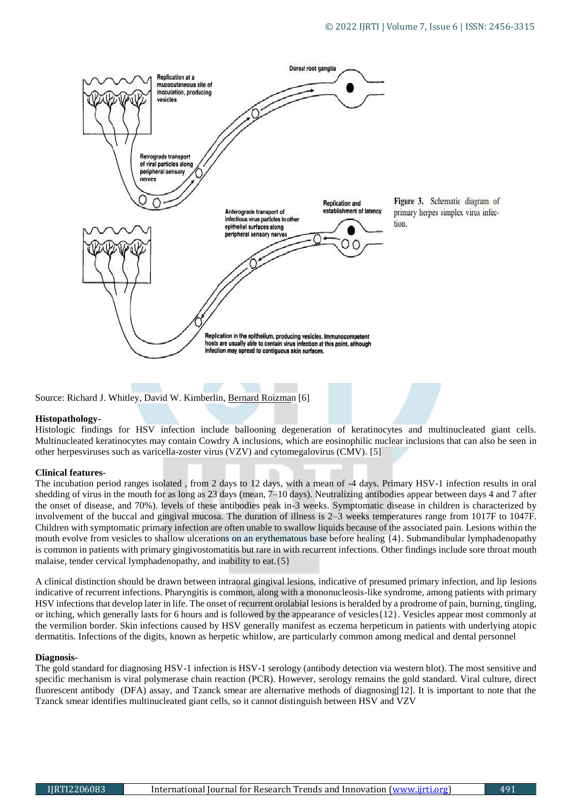

Source: [Richard J. Whitley,](about:blank) [David W. Kimberlin,](about:blank) [Bernard Roizman](about:blank) [6]

#### **Histopathology-**

Histologic findings for HSV infection include ballooning degeneration of keratinocytes and multinucleated giant cells. Multinucleated keratinocytes may contain Cowdry A inclusions, which are eosinophilic nuclear inclusions that can also be seen in other herpesviruses such as varicella-zoster virus (VZV) and cytomegalovirus (CMV). [5]

#### **Clinical features-**

The incubation period ranges isolated , from 2 days to 12 days, with a mean of -4 days. Primary HSV-1 infection results in oral shedding of virus in the mouth for as long as 23 days (mean, 7–10 days). Neutralizing antibodies appear between days 4 and 7 after the onset of disease, and 70%). levels of these antibodies peak in-3 weeks. Symptomatic disease in children is characterized by involvement of the buccal and gingival mucosa. The duration of illness is 2–3 weeks temperatures range from 1017F to 1047F. Children with symptomatic primary infection are often unable to swallow liquids because of the associated pain. Lesions within the mouth evolve from vesicles to shallow ulcerations on an erythematous base before healing {4}. Submandibular lymphadenopathy is common in patients with primary gingivostomatitis but rare in with recurrent infections. Other findings include sore throat mouth malaise, tender cervical lymphadenopathy, and inability to eat.{5}

A clinical distinction should be drawn between intraoral gingival lesions, indicative of presumed primary infection, and lip lesions indicative of recurrent infections. Pharyngitis is common, along with a mononucleosis-like syndrome, among patients with primary HSV infections that develop later in life. The onset of recurrent orolabial lesions is heralded by a prodrome of pain, burning, tingling, or itching, which generally lasts for 6 hours and is followed by the appearance of vesicles{12}. Vesicles appear most commonly at the vermilion border. Skin infections caused by HSV generally manifest as eczema herpeticum in patients with underlying atopic dermatitis. Infections of the digits, known as herpetic whitlow, are particularly common among medical and dental personnel

#### **Diagnosis-**

The gold standard for diagnosing HSV-1 infection is HSV-1 serology (antibody detection via western blot). The most sensitive and specific mechanism is viral polymerase chain reaction (PCR). However, serology remains the gold standard. Viral culture, direct fluorescent antibody (DFA) assay, and Tzanck smear are alternative methods of diagnosing[12]. It is important to note that the Tzanck smear identifies multinucleated giant cells, so it cannot distinguish between HSV and VZV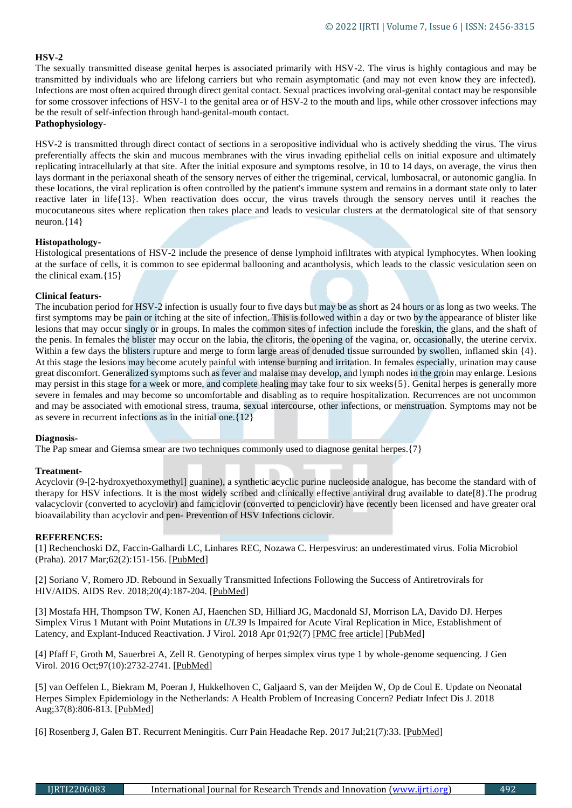# **HSV-2**

The [sexually transmitted disease](https://www.britannica.com/science/sexually-transmitted-disease) genital herpes is associated primarily with HSV-2. The virus is highly [contagious](https://www.merriam-webster.com/dictionary/contagious) and may be transmitted by individuals who are lifelong carriers but who remain asymptomatic (and may not even know they are infected). Infections are most often acquired through direct genital contact. Sexual practices involving oral-genital contact may be responsible for some crossover infections of HSV-1 to the [genital area](https://www.britannica.com/science/reproductive-system-disease) or of HSV-2 to the mouth and lips, while other crossover infections may be the result of self-infection through hand-genital-mouth contact. **Pathophysiology**-

HSV-2 is transmitted through direct contact of sections in a seropositive individual who is actively shedding the virus. The virus preferentially affects the skin and mucous membranes with the virus invading epithelial cells on initial exposure and ultimately replicating intracellularly at that site. After the initial exposure and symptoms resolve, in 10 to 14 days, on average, the virus then lays dormant in the periaxonal sheath of the sensory nerves of either the trigeminal, cervical, lumbosacral, or autonomic ganglia. In these locations, the viral replication is often controlled by the patient's immune system and remains in a dormant state only to later reactive later in life{13}. When reactivation does occur, the virus travels through the sensory nerves until it reaches the mucocutaneous sites where replication then takes place and leads to vesicular clusters at the dermatological site of that sensory neuron.{14}

# **Histopathology-**

Histological presentations of HSV-2 include the presence of dense lymphoid infiltrates with atypical lymphocytes. When looking at the surface of cells, it is common to see epidermal ballooning and acantholysis, which leads to the classic vesiculation seen on the clinical exam.{15}

# **Clinical featurs-**

The incubation period for HSV-2 infection is usually four to five days but may be as short as 24 hours or as long as two weeks. The first symptoms may be pain or itching at the site of infection. This is followed within a day or two by the appearance of blister like lesions that may occur singly or in groups. In males the common sites of infection include the foreskin, the glans, and the shaft of the [penis.](https://www.britannica.com/science/penis) In females the [blister](https://www.britannica.com/science/blister) may occur on the labia, the [clitoris,](https://www.britannica.com/science/clitoris) the opening of the [vagina,](https://www.britannica.com/science/vagina) or, occasionally, the [uterine cervix.](https://www.britannica.com/science/cervix) Within a few days the blisters rupture and merge to form large areas of denuded tissue surrounded by swollen, inflamed skin  $\{4\}$ . At this stage the lesions may become acutely painful with intense burning and irritation. In females especially, urination may cause great discomfort. Generalized symptoms such as fever and [malaise](https://www.merriam-webster.com/dictionary/malaise) may develop, and [lymph nodes](https://www.britannica.com/science/lymph-node) in the groin may enlarge. Lesions may persist in this stage for a week or more, and complete healing may take four to six weeks{5}. Genital herpes is generally more severe in females and may become so uncomfortable and disabling as to require hospitalization. Recurrences are not uncommon and may be associated with emotional stress, trauma, [sexual intercourse,](https://www.britannica.com/science/sexual-intercourse) other infections, or [menstruation.](https://www.britannica.com/science/menstruation) [Symptoms](https://www.britannica.com/dictionary/Symptoms) may not be as severe in recurrent infections as in the initial one.{12}

# **Diagnosis-**

The [Pap smear](https://www.britannica.com/science/Pap-smear) and Giemsa smear are two techniques commonly used to diagnose genital herpes.{7}

# **Treatment-**

Acyclovir (9-[2-hydroxyethoxymethyl] guanine), a synthetic acyclic purine nucleoside analogue, has become the standard with of therapy for HSV infections. It is the most widely scribed and clinically effective antiviral drug available to date[8}.The prodrug valacyclovir (converted to acyclovir) and famciclovir (converted to penciclovir) have recently been licensed and have greater oral bioavailability than acyclovir and pen- Prevention of HSV Infections ciclovir.

#### **REFERENCES:**

[1] Rechenchoski DZ, Faccin-Galhardi LC, Linhares REC, Nozawa C. Herpesvirus: an underestimated virus. Folia Microbiol (Praha). 2017 Mar;62(2):151-156. [\[PubMed\]](https://www.ncbi.nlm.nih.gov/pubmed/27858281)

[2] Soriano V, Romero JD. Rebound in Sexually Transmitted Infections Following the Success of Antiretrovirals for HIV/AIDS. AIDS Rev. 2018;20(4):187-204. [\[PubMed\]](https://www.ncbi.nlm.nih.gov/pubmed/30548023)

[3] Mostafa HH, Thompson TW, Konen AJ, Haenchen SD, Hilliard JG, Macdonald SJ, Morrison LA, Davido DJ. Herpes Simplex Virus 1 Mutant with Point Mutations in *UL39* Is Impaired for Acute Viral Replication in Mice, Establishment of Latency, and Explant-Induced Reactivation. J Virol. 2018 Apr 01;92(7) [\[PMC free article\]](https://www.ncbi.nlm.nih.gov/pmc/articles/PMC5972887/) [\[PubMed\]](https://www.ncbi.nlm.nih.gov/pubmed/29321311)

[4] Pfaff F, Groth M, Sauerbrei A, Zell R. Genotyping of herpes simplex virus type 1 by whole-genome sequencing. J Gen Virol. 2016 Oct;97(10):2732-2741. [\[PubMed\]](https://www.ncbi.nlm.nih.gov/pubmed/27558891)

[5] van Oeffelen L, Biekram M, Poeran J, Hukkelhoven C, Galjaard S, van der Meijden W, Op de Coul E. Update on Neonatal Herpes Simplex Epidemiology in the Netherlands: A Health Problem of Increasing Concern? Pediatr Infect Dis J. 2018 Aug;37(8):806-813. [\[PubMed\]](https://www.ncbi.nlm.nih.gov/pubmed/29356762)

[6] Rosenberg J, Galen BT. Recurrent Meningitis. Curr Pain Headache Rep. 2017 Jul;21(7):33. [\[PubMed\]](https://www.ncbi.nlm.nih.gov/pubmed/28551737)